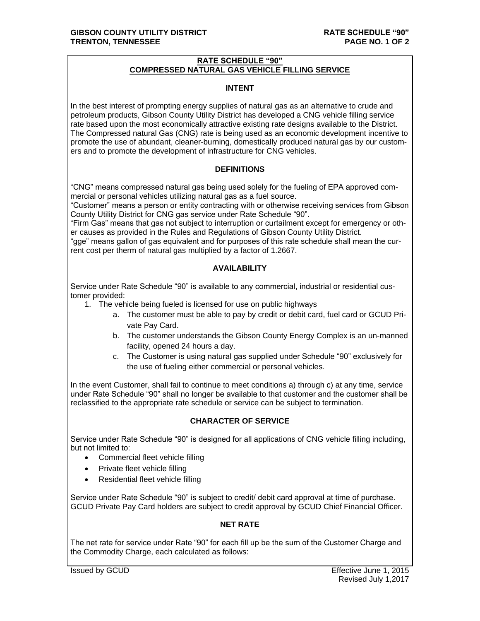# **RATE SCHEDULE "90" COMPRESSED NATURAL GAS VEHICLE FILLING SERVICE**

#### **INTENT**

In the best interest of prompting energy supplies of natural gas as an alternative to crude and petroleum products, Gibson County Utility District has developed a CNG vehicle filling service rate based upon the most economically attractive existing rate designs available to the District. The Compressed natural Gas (CNG) rate is being used as an economic development incentive to promote the use of abundant, cleaner-burning, domestically produced natural gas by our customers and to promote the development of infrastructure for CNG vehicles.

# **DEFINITIONS**

"CNG" means compressed natural gas being used solely for the fueling of EPA approved commercial or personal vehicles utilizing natural gas as a fuel source.

"Customer" means a person or entity contracting with or otherwise receiving services from Gibson County Utility District for CNG gas service under Rate Schedule "90".

"Firm Gas" means that gas not subject to interruption or curtailment except for emergency or other causes as provided in the Rules and Regulations of Gibson County Utility District.

"gge" means gallon of gas equivalent and for purposes of this rate schedule shall mean the current cost per therm of natural gas multiplied by a factor of 1.2667.

# **AVAILABILITY**

Service under Rate Schedule "90" is available to any commercial, industrial or residential customer provided:

- 1. The vehicle being fueled is licensed for use on public highways
	- a. The customer must be able to pay by credit or debit card, fuel card or GCUD Private Pay Card.
	- b. The customer understands the Gibson County Energy Complex is an un-manned facility, opened 24 hours a day.
	- c. The Customer is using natural gas supplied under Schedule "90" exclusively for the use of fueling either commercial or personal vehicles.

In the event Customer, shall fail to continue to meet conditions a) through c) at any time, service under Rate Schedule "90" shall no longer be available to that customer and the customer shall be reclassified to the appropriate rate schedule or service can be subject to termination.

# **CHARACTER OF SERVICE**

Service under Rate Schedule "90" is designed for all applications of CNG vehicle filling including, but not limited to:

- Commercial fleet vehicle filling
- Private fleet vehicle filling
- Residential fleet vehicle filling

Service under Rate Schedule "90" is subject to credit/ debit card approval at time of purchase. GCUD Private Pay Card holders are subject to credit approval by GCUD Chief Financial Officer.

# **NET RATE**

The net rate for service under Rate "90" for each fill up be the sum of the Customer Charge and the Commodity Charge, each calculated as follows: